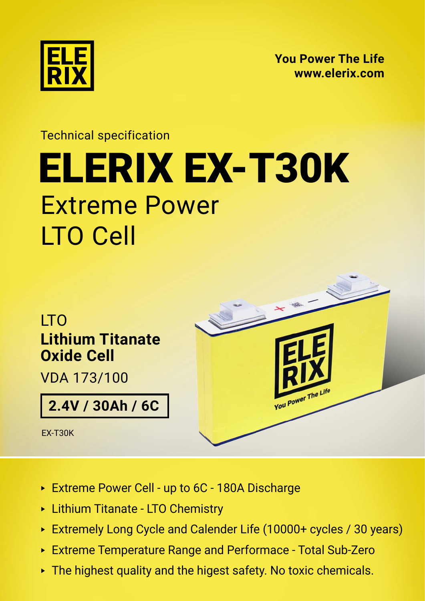

**[You Power The Life](https://elerix.com) [www.elerix.com](https://elerix.com)**

## Technical specification Extreme Power LTO Cell [ELERIX](https://shop.gwl.eu/_d7872.html) [EX-T30K](https://shop.gwl.eu/_d7875.html)



- ► Extreme Power Cell up to 6C 180A Discharge
- ► Lithium Titanate LTO Chemistry
- ► Extremely Long Cycle and Calender Life (10000+ cycles / 30 years)
- ► Extreme Temperature Range and Performace Total Sub-Zero
- ► The highest quality and the higest safety. No toxic chemicals.